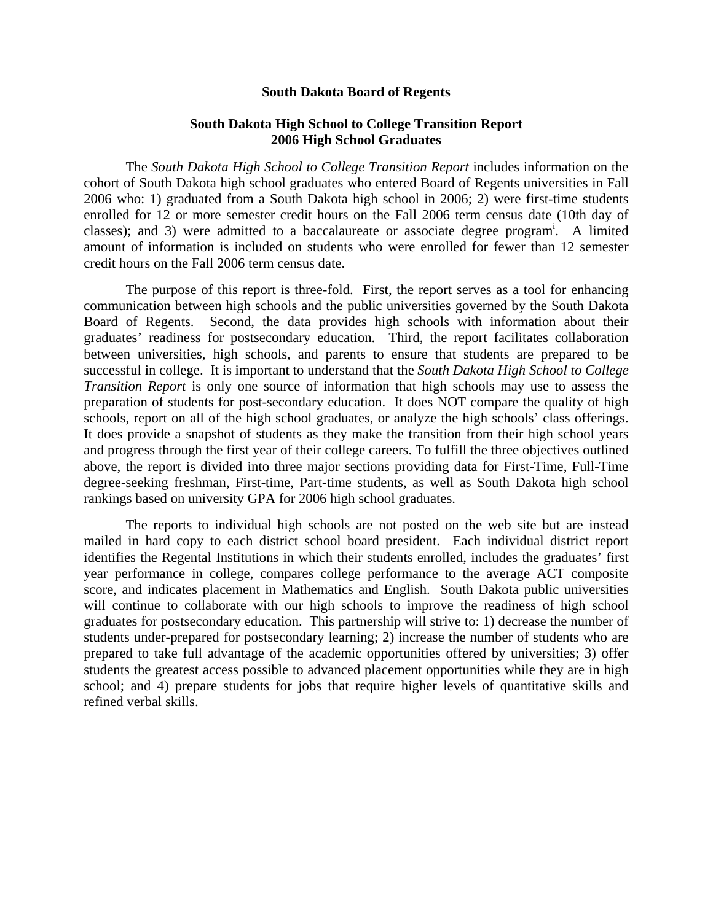#### **South Dakota Board of Regents**

### **South Dakota High School to College Transition Report 2006 High School Graduates**

The *South Dakota High School to College Transition Report* includes information on the cohort of South Dakota high school graduates who entered Board of Regents universities in Fall 2006 who: 1) graduated from a South Dakota high school in 2006; 2) were first-time students enrolled for 12 or more semester credit hours on the Fall 2006 term census date (10th day of classes); and 3) were admitted to a baccalaureate or associate degree program<sup>i</sup>. A limited amount of information is included on students who were enrolled for fewer than 12 semester credit hours on the Fall 2006 term census date.

The purpose of this report is three-fold. First, the report serves as a tool for enhancing communication between high schools and the public universities governed by the South Dakota Board of Regents. Second, the data provides high schools with information about their graduates' readiness for postsecondary education. Third, the report facilitates collaboration between universities, high schools, and parents to ensure that students are prepared to be successful in college. It is important to understand that the *South Dakota High School to College Transition Report* is only one source of information that high schools may use to assess the preparation of students for post-secondary education. It does NOT compare the quality of high schools, report on all of the high school graduates, or analyze the high schools' class offerings. It does provide a snapshot of students as they make the transition from their high school years and progress through the first year of their college careers. To fulfill the three objectives outlined above, the report is divided into three major sections providing data for First-Time, Full-Time degree-seeking freshman, First-time, Part-time students, as well as South Dakota high school rankings based on university GPA for 2006 high school graduates.

The reports to individual high schools are not posted on the web site but are instead mailed in hard copy to each district school board president. Each individual district report identifies the Regental Institutions in which their students enrolled, includes the graduates' first year performance in college, compares college performance to the average ACT composite score, and indicates placement in Mathematics and English. South Dakota public universities will continue to collaborate with our high schools to improve the readiness of high school graduates for postsecondary education. This partnership will strive to: 1) decrease the number of students under-prepared for postsecondary learning; 2) increase the number of students who are prepared to take full advantage of the academic opportunities offered by universities; 3) offer students the greatest access possible to advanced placement opportunities while they are in high school; and 4) prepare students for jobs that require higher levels of quantitative skills and refined verbal skills.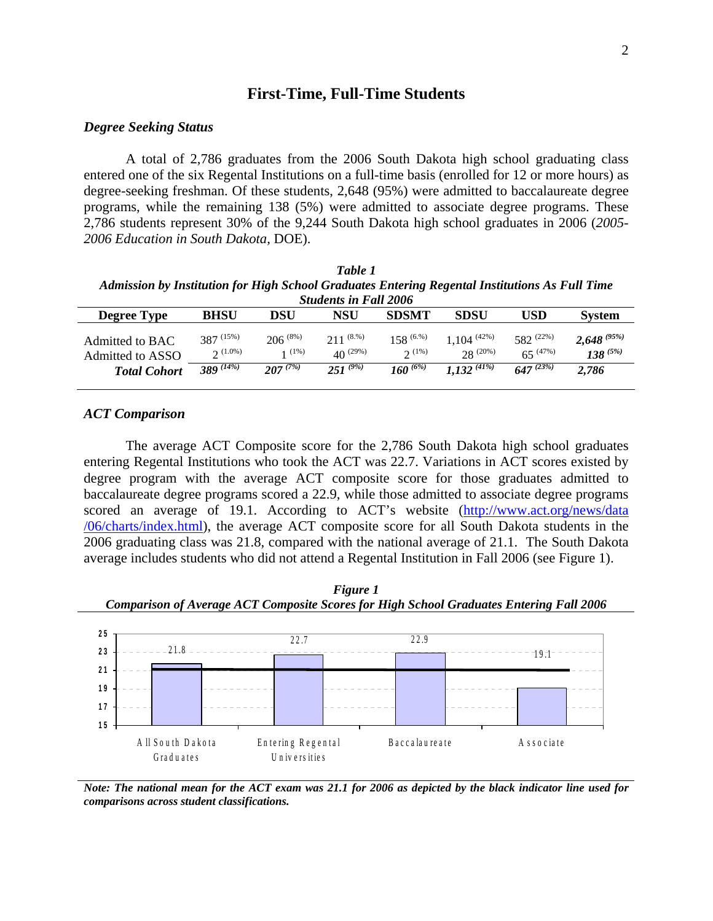## **First-Time, Full-Time Students**

#### *Degree Seeking Status*

A total of 2,786 graduates from the 2006 South Dakota high school graduating class entered one of the six Regental Institutions on a full-time basis (enrolled for 12 or more hours) as degree-seeking freshman. Of these students, 2,648 (95%) were admitted to baccalaureate degree programs, while the remaining 138 (5%) were admitted to associate degree programs. These 2,786 students represent 30% of the 9,244 South Dakota high school graduates in 2006 (*2005- 2006 Education in South Dakota,* DOE).

| Table 1                                                                                        |
|------------------------------------------------------------------------------------------------|
| Admission by Institution for High School Graduates Entering Regental Institutions As Full Time |
| <b>Students in Fall 2006</b>                                                                   |

|                                     |                                   |                          | staathis in 1 an 2000           |                            |                                  | USD<br>$582^{(22\%)}$<br>$65^{(47%)}$<br>$647^{(23\%)}$<br>2,786 |                                     |  |  |  |
|-------------------------------------|-----------------------------------|--------------------------|---------------------------------|----------------------------|----------------------------------|------------------------------------------------------------------|-------------------------------------|--|--|--|
| Degree Type                         | <b>BHSU</b>                       | DSU                      | NSU                             | <b>SDSMT</b>               | <b>SDSU</b>                      |                                                                  | <b>System</b>                       |  |  |  |
| Admitted to BAC<br>Admitted to ASSO | $387^{(15\%)}$<br>$\gamma$ (1.0%) | $206^{(8\%)}$<br>$(1\%)$ | $211^{(8.96)}$<br>$40^{(29\%)}$ | $158^{\,(6. \%)}$<br>2(1%) | $.104^{(42\%)}$<br>$28^{(20\%)}$ |                                                                  | $2,648^{(95\%)}$<br>$138^{\,(5\%)}$ |  |  |  |
| <b>Total Cohort</b>                 | $389^{(14\%)}$                    | $207^{(7\%)}$            | $251^{(9\%)}$                   | $160^{(6\%)}$              | $1.132^{(41\%)}$                 |                                                                  |                                     |  |  |  |

#### *ACT Comparison*

The average ACT Composite score for the 2,786 South Dakota high school graduates entering Regental Institutions who took the ACT was 22.7. Variations in ACT scores existed by degree program with the average ACT composite score for those graduates admitted to baccalaureate degree programs scored a 22.9, while those admitted to associate degree programs scored an average of 19.1. According to ACT's website (http://www.act.org/news/data /06/charts/index.html), the average ACT composite score for all South Dakota students in the 2006 graduating class was 21.8, compared with the national average of 21.1. The South Dakota average includes students who did not attend a Regental Institution in Fall 2006 (see Figure 1).



*Figure 1* 

*Note: The national mean for the ACT exam was 21.1 for 2006 as depicted by the black indicator line used for comparisons across student classifications.*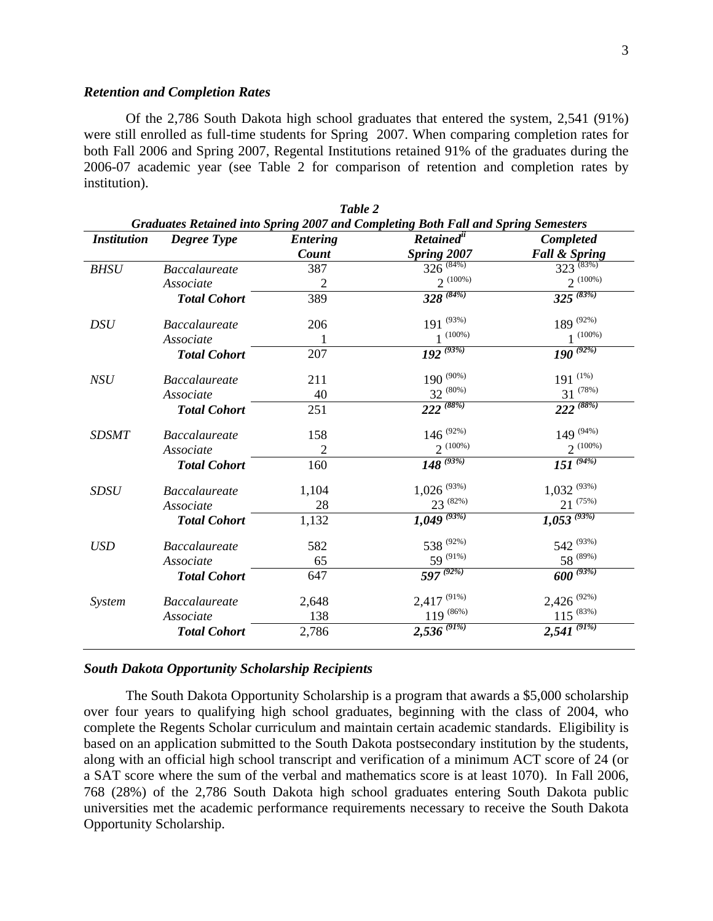#### *Retention and Completion Rates*

Of the 2,786 South Dakota high school graduates that entered the system, 2,541 (91%) were still enrolled as full-time students for Spring 2007. When comparing completion rates for both Fall 2006 and Spring 2007, Regental Institutions retained 91% of the graduates during the 2006-07 academic year (see Table 2 for comparison of retention and completion rates by institution).

|                    |                      |                 | Graduates Retained into Spring 2007 and Completing Both Fall and Spring Semesters |                           |
|--------------------|----------------------|-----------------|-----------------------------------------------------------------------------------|---------------------------|
| <b>Institution</b> | <b>Degree Type</b>   | <b>Entering</b> | Retained <sup>ii</sup>                                                            | Completed                 |
|                    |                      | Count           | Spring 2007                                                                       | <b>Fall &amp; Spring</b>  |
| <b>BHSU</b>        | <b>Baccalaureate</b> | 387             | $326^{(84\%)}$                                                                    | $323^{(83\%)}$            |
|                    | Associate            | $\overline{2}$  | $2^{(100\%)}$                                                                     | $2^{(100\%)}$             |
|                    | <b>Total Cohort</b>  | 389             | $328^{(84\%)}$                                                                    | $325^{(83\%)}$            |
| <b>DSU</b>         | <b>Baccalaureate</b> | 206             | $191^{(93\%)}$                                                                    | 189 $^{(92\%)}$           |
|                    | Associate            | 1               | $1^{(100\%)}$                                                                     | $1^{(100\%)}$             |
|                    | <b>Total Cohort</b>  | 207             | $192^{(93\%)}$                                                                    | $190^{(92\%)}$            |
| NSU                | <b>Baccalaureate</b> | 211             | $190^{(90\%)}$                                                                    | $191 \stackrel{(1\%)}{ }$ |
|                    | Associate            | 40              | $32^{(80\%)}$                                                                     | $31^{(78%)}$              |
|                    | <b>Total Cohort</b>  | 251             | $222^{(88\%)}$                                                                    | $222^{(88\%)}$            |
| <b>SDSMT</b>       | <b>Baccalaureate</b> | 158             | $146^{(92\%)}$                                                                    | $149^{(94\%)}$            |
|                    | Associate            | $\overline{2}$  | $2^{(100\%)}$                                                                     | $2^{(100\%)}$             |
|                    | <b>Total Cohort</b>  | 160             | $148^{(93\%)}$                                                                    | $151^{(94\%)}$            |
| <b>SDSU</b>        | <b>Baccalaureate</b> | 1,104           | $1,026$ <sup>(93%)</sup>                                                          | $1,032^{(93\%)}$          |
|                    | Associate            | 28              | $23^{(82\%)}$                                                                     | $21^{(75\%)}$             |
|                    | <b>Total Cohort</b>  | 1,132           | $1,049^{(93\%)}$                                                                  | $1,053^{(93\%)}$          |
| <b>USD</b>         | <b>Baccalaureate</b> | 582             | 538 $(92\%)$                                                                      | 542 $(93%)$               |
|                    | Associate            | 65              | 59 (91%)                                                                          | $58^{(89\%)}$             |
|                    | <b>Total Cohort</b>  | 647             | $597^{(92\%)}$                                                                    | $600^{(93\%)}$            |
| System             | <b>Baccalaureate</b> | 2,648           | $2,417$ (91%)                                                                     | $2,426$ (92%)             |
|                    | Associate            | 138             | $119^{(86\%)}$                                                                    | $115^{(83\%)}$            |
|                    | <b>Total Cohort</b>  | 2,786           | $2,536^{(91\%)}$                                                                  | $2,541^{(91\%)}$          |

*Table 2 Graduates Retained into Spring 2007 and Completing Both Fall and Spring Semesters*

### *South Dakota Opportunity Scholarship Recipients*

The South Dakota Opportunity Scholarship is a program that awards a \$5,000 scholarship over four years to qualifying high school graduates, beginning with the class of 2004, who complete the Regents Scholar curriculum and maintain certain academic standards. Eligibility is based on an application submitted to the South Dakota postsecondary institution by the students, along with an official high school transcript and verification of a minimum ACT score of 24 (or a SAT score where the sum of the verbal and mathematics score is at least 1070). In Fall 2006, 768 (28%) of the 2,786 South Dakota high school graduates entering South Dakota public universities met the academic performance requirements necessary to receive the South Dakota Opportunity Scholarship.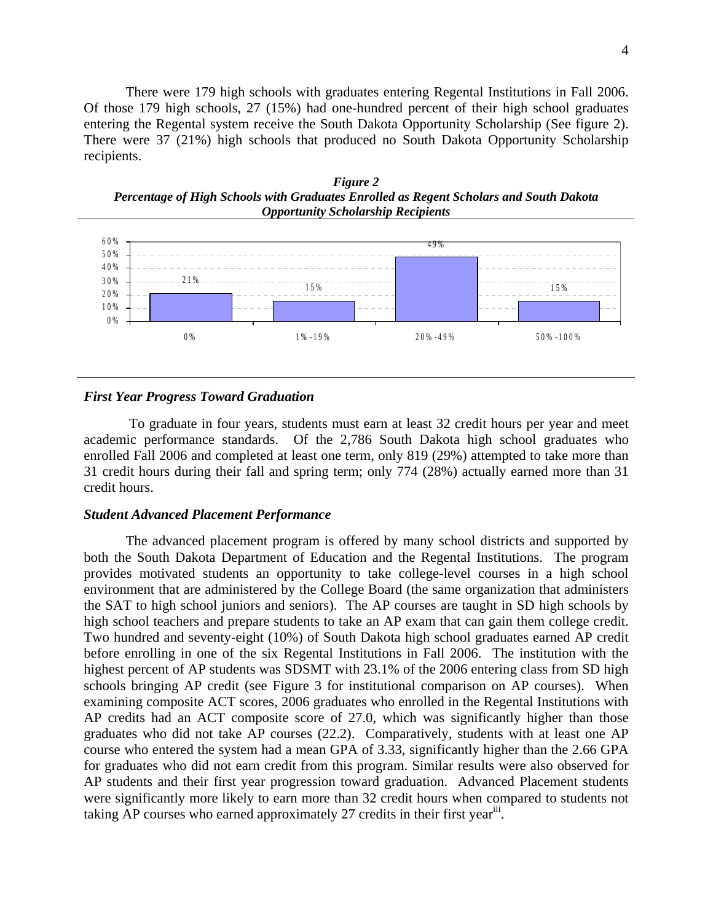There were 179 high schools with graduates entering Regental Institutions in Fall 2006. Of those 179 high schools, 27 (15%) had one-hundred percent of their high school graduates entering the Regental system receive the South Dakota Opportunity Scholarship (See figure 2). There were 37 (21%) high schools that produced no South Dakota Opportunity Scholarship recipients.





#### *First Year Progress Toward Graduation*

 To graduate in four years, students must earn at least 32 credit hours per year and meet academic performance standards. Of the 2,786 South Dakota high school graduates who enrolled Fall 2006 and completed at least one term, only 819 (29%) attempted to take more than 31 credit hours during their fall and spring term; only 774 (28%) actually earned more than 31 credit hours.

### *Student Advanced Placement Performance*

The advanced placement program is offered by many school districts and supported by both the South Dakota Department of Education and the Regental Institutions. The program provides motivated students an opportunity to take college-level courses in a high school environment that are administered by the College Board (the same organization that administers the SAT to high school juniors and seniors). The AP courses are taught in SD high schools by high school teachers and prepare students to take an AP exam that can gain them college credit. Two hundred and seventy-eight (10%) of South Dakota high school graduates earned AP credit before enrolling in one of the six Regental Institutions in Fall 2006. The institution with the highest percent of AP students was SDSMT with 23.1% of the 2006 entering class from SD high schools bringing AP credit (see Figure 3 for institutional comparison on AP courses). When examining composite ACT scores, 2006 graduates who enrolled in the Regental Institutions with AP credits had an ACT composite score of 27.0, which was significantly higher than those graduates who did not take AP courses (22.2). Comparatively, students with at least one AP course who entered the system had a mean GPA of 3.33, significantly higher than the 2.66 GPA for graduates who did not earn credit from this program. Similar results were also observed for AP students and their first year progression toward graduation. Advanced Placement students were significantly more likely to earn more than 32 credit hours when compared to students not taking AP courses who earned approximately 27 credits in their first year<sup>iii</sup>.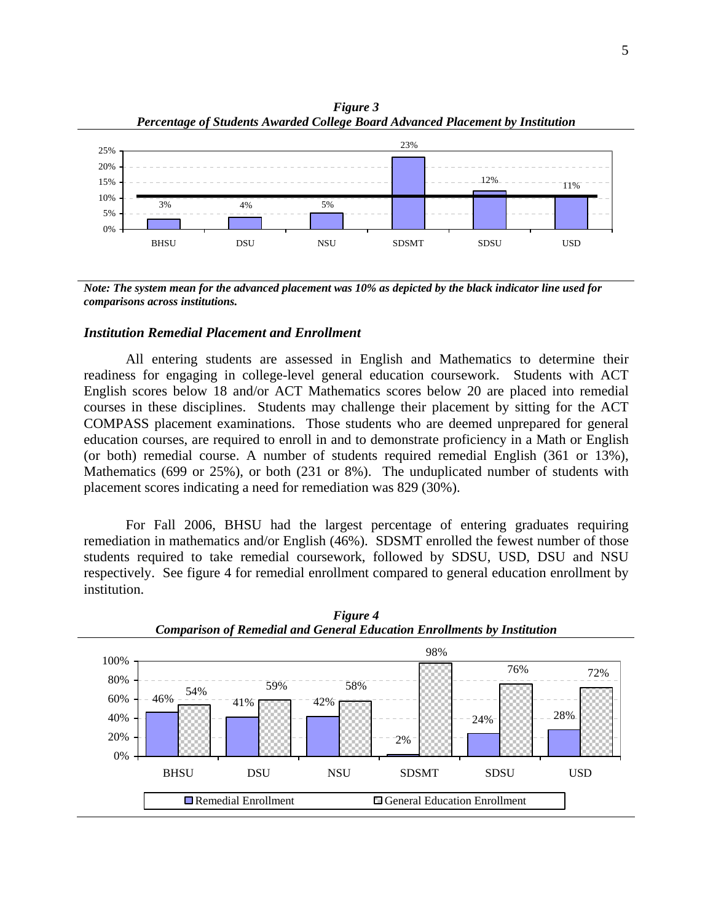

*Figure 3 Percentage of Students Awarded College Board Advanced Placement by Institution*

*Note: The system mean for the advanced placement was 10% as depicted by the black indicator line used for comparisons across institutions.*

#### *Institution Remedial Placement and Enrollment*

All entering students are assessed in English and Mathematics to determine their readiness for engaging in college-level general education coursework. Students with ACT English scores below 18 and/or ACT Mathematics scores below 20 are placed into remedial courses in these disciplines. Students may challenge their placement by sitting for the ACT COMPASS placement examinations. Those students who are deemed unprepared for general education courses, are required to enroll in and to demonstrate proficiency in a Math or English (or both) remedial course. A number of students required remedial English (361 or 13%), Mathematics (699 or 25%), or both (231 or 8%). The unduplicated number of students with placement scores indicating a need for remediation was 829 (30%).

 For Fall 2006, BHSU had the largest percentage of entering graduates requiring remediation in mathematics and/or English (46%). SDSMT enrolled the fewest number of those students required to take remedial coursework, followed by SDSU, USD, DSU and NSU respectively. See figure 4 for remedial enrollment compared to general education enrollment by institution.



*Figure 4 Comparison of Remedial and General Education Enrollments by Institution*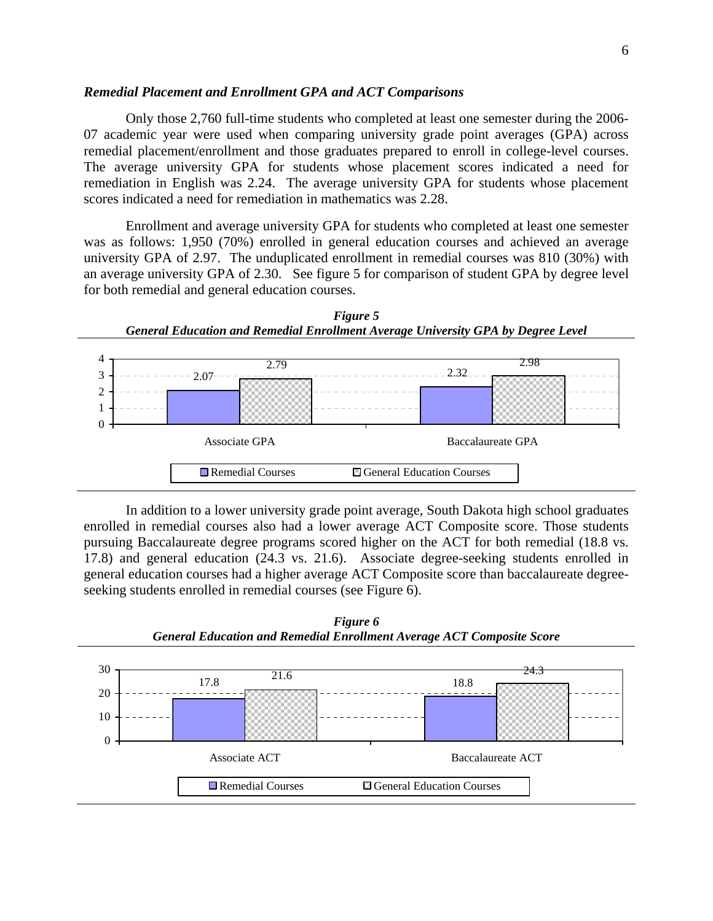#### *Remedial Placement and Enrollment GPA and ACT Comparisons*

Only those 2,760 full-time students who completed at least one semester during the 2006- 07 academic year were used when comparing university grade point averages (GPA) across remedial placement/enrollment and those graduates prepared to enroll in college-level courses. The average university GPA for students whose placement scores indicated a need for remediation in English was 2.24. The average university GPA for students whose placement scores indicated a need for remediation in mathematics was 2.28.

Enrollment and average university GPA for students who completed at least one semester was as follows: 1,950 (70%) enrolled in general education courses and achieved an average university GPA of 2.97. The unduplicated enrollment in remedial courses was 810 (30%) with an average university GPA of 2.30. See figure 5 for comparison of student GPA by degree level for both remedial and general education courses.



In addition to a lower university grade point average, South Dakota high school graduates enrolled in remedial courses also had a lower average ACT Composite score. Those students pursuing Baccalaureate degree programs scored higher on the ACT for both remedial (18.8 vs. 17.8) and general education (24.3 vs. 21.6). Associate degree-seeking students enrolled in general education courses had a higher average ACT Composite score than baccalaureate degreeseeking students enrolled in remedial courses (see Figure 6).



*Figure 6 General Education and Remedial Enrollment Average ACT Composite Score*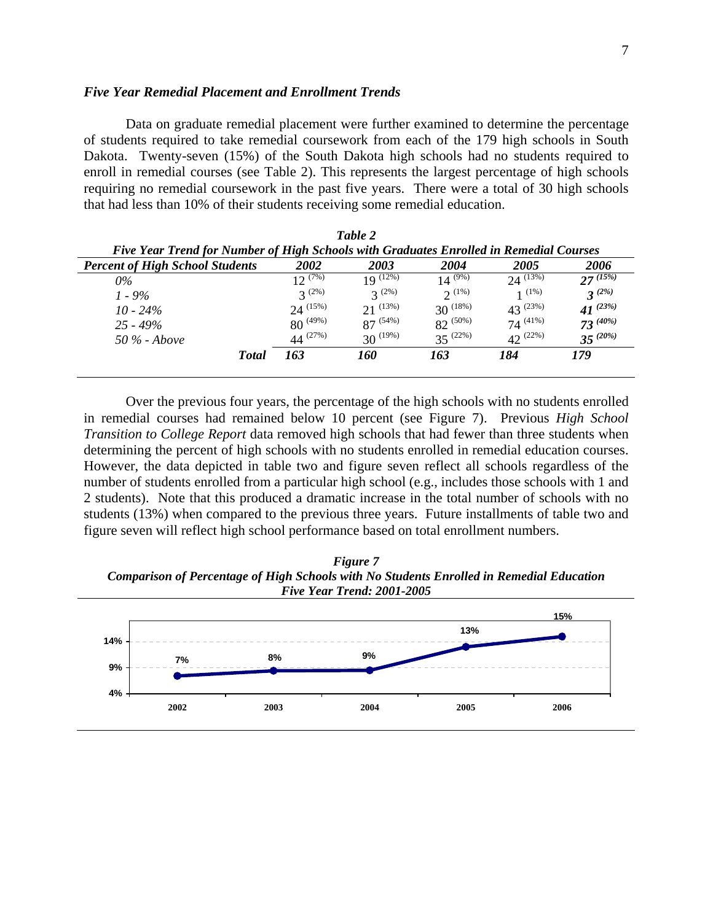#### *Five Year Remedial Placement and Enrollment Trends*

Data on graduate remedial placement were further examined to determine the percentage of students required to take remedial coursework from each of the 179 high schools in South Dakota. Twenty-seven (15%) of the South Dakota high schools had no students required to enroll in remedial courses (see Table 2). This represents the largest percentage of high schools requiring no remedial coursework in the past five years. There were a total of 30 high schools that had less than 10% of their students receiving some remedial education.

|                                                                                        |                | Table 2       |               |               |                                  |  |  |  |  |
|----------------------------------------------------------------------------------------|----------------|---------------|---------------|---------------|----------------------------------|--|--|--|--|
| Five Year Trend for Number of High Schools with Graduates Enrolled in Remedial Courses |                |               |               |               |                                  |  |  |  |  |
| <b>Percent of High School Students</b>                                                 | 2002           | 2003          | 2004          | 2005          | 2006                             |  |  |  |  |
| $0\%$                                                                                  | $12^{(7\%)}$   | $19^{(12\%)}$ | $14^{(9\%)}$  | $24^{(13\%)}$ | $27^{(15\%)}$                    |  |  |  |  |
| $1 - 9\%$                                                                              | $2^{(2\%)}$    | $3^{(2\%)}$   | $2^{(1\%)}$   | 1(1%)         | $3^{(2\%)}$                      |  |  |  |  |
| $10 - 24\%$                                                                            | $24^{(15\%)}$  | $21^{(13\%)}$ | $30^{(18\%)}$ | $43^{(23%)}$  | 41 <sup><math>(23%)</math></sup> |  |  |  |  |
| $25 - 49\%$                                                                            | $80^{(49\%)}$  | $87^{(54\%)}$ | $82^{(50\%)}$ | $74^{(41\%)}$ | $73^{(40\%)}$                    |  |  |  |  |
| $50\%$ - Above                                                                         | 44 $^{(27\%)}$ | $30^{(19\%)}$ | $35^{(22\%)}$ | $42^{(22\%)}$ | $35^{(20\%)}$                    |  |  |  |  |
| <b>Total</b>                                                                           | 163            | 160           | 163           | 184           | 179                              |  |  |  |  |
|                                                                                        |                |               |               |               |                                  |  |  |  |  |

Over the previous four years, the percentage of the high schools with no students enrolled in remedial courses had remained below 10 percent (see Figure 7). Previous *High School Transition to College Report* data removed high schools that had fewer than three students when determining the percent of high schools with no students enrolled in remedial education courses. However, the data depicted in table two and figure seven reflect all schools regardless of the number of students enrolled from a particular high school (e.g., includes those schools with 1 and 2 students). Note that this produced a dramatic increase in the total number of schools with no students (13%) when compared to the previous three years. Future installments of table two and figure seven will reflect high school performance based on total enrollment numbers.

*Figure 7 Comparison of Percentage of High Schools with No Students Enrolled in Remedial Education Five Year Trend: 2001-2005*

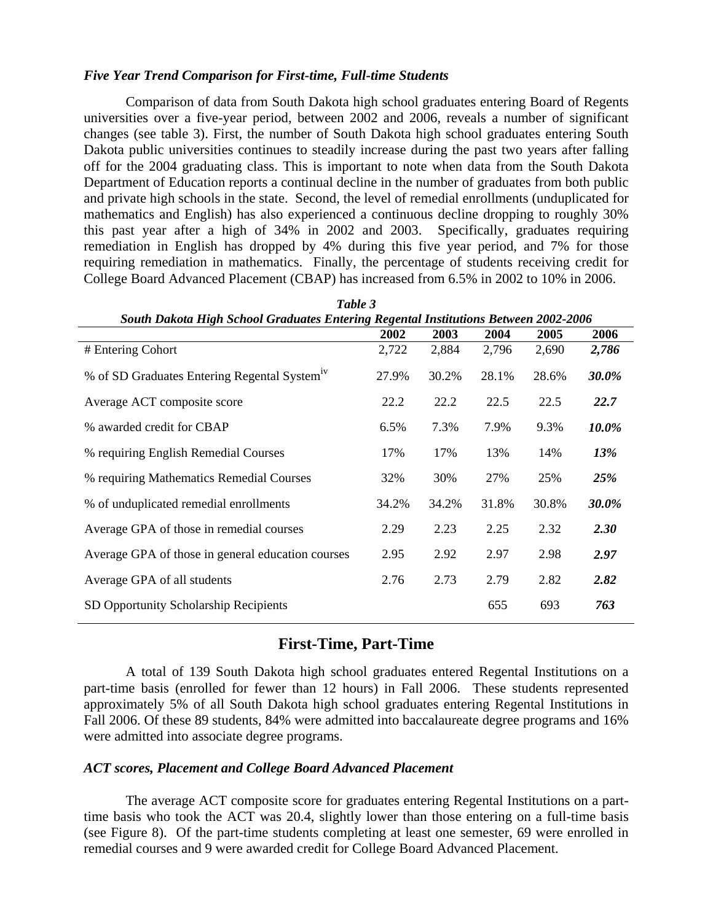## *Five Year Trend Comparison for First-time, Full-time Students*

Comparison of data from South Dakota high school graduates entering Board of Regents universities over a five-year period, between 2002 and 2006, reveals a number of significant changes (see table 3). First, the number of South Dakota high school graduates entering South Dakota public universities continues to steadily increase during the past two years after falling off for the 2004 graduating class. This is important to note when data from the South Dakota Department of Education reports a continual decline in the number of graduates from both public and private high schools in the state. Second, the level of remedial enrollments (unduplicated for mathematics and English) has also experienced a continuous decline dropping to roughly 30% this past year after a high of 34% in 2002 and 2003. Specifically, graduates requiring remediation in English has dropped by 4% during this five year period, and 7% for those requiring remediation in mathematics. Finally, the percentage of students receiving credit for College Board Advanced Placement (CBAP) has increased from 6.5% in 2002 to 10% in 2006.

| South Dakota High School Graduates Entering Regental Institutions Between 2002-2006 |       |       |       |       |              |
|-------------------------------------------------------------------------------------|-------|-------|-------|-------|--------------|
|                                                                                     | 2002  | 2003  | 2004  | 2005  | 2006         |
| # Entering Cohort                                                                   | 2,722 | 2,884 | 2,796 | 2,690 | 2,786        |
| % of SD Graduates Entering Regental System <sup>1V</sup>                            | 27.9% | 30.2% | 28.1% | 28.6% | 30.0%        |
| Average ACT composite score                                                         | 22.2  | 22.2  | 22.5  | 22.5  | 22.7         |
| % awarded credit for CBAP                                                           | 6.5%  | 7.3%  | 7.9%  | 9.3%  | 10.0%        |
| % requiring English Remedial Courses                                                | 17%   | 17%   | 13%   | 14%   | <b>13%</b>   |
| % requiring Mathematics Remedial Courses                                            | 32%   | 30%   | 27%   | 25%   | <b>25%</b>   |
| % of unduplicated remedial enrollments                                              | 34.2% | 34.2% | 31.8% | 30.8% | <b>30.0%</b> |
| Average GPA of those in remedial courses                                            | 2.29  | 2.23  | 2.25  | 2.32  | <b>2.30</b>  |
| Average GPA of those in general education courses                                   | 2.95  | 2.92  | 2.97  | 2.98  | 2.97         |
| Average GPA of all students                                                         | 2.76  | 2.73  | 2.79  | 2.82  | 2.82         |
| SD Opportunity Scholarship Recipients                                               |       |       | 655   | 693   | 763          |

*Table 3* 

## **First-Time, Part-Time**

A total of 139 South Dakota high school graduates entered Regental Institutions on a part-time basis (enrolled for fewer than 12 hours) in Fall 2006. These students represented approximately 5% of all South Dakota high school graduates entering Regental Institutions in Fall 2006. Of these 89 students, 84% were admitted into baccalaureate degree programs and 16% were admitted into associate degree programs.

### *ACT scores, Placement and College Board Advanced Placement*

The average ACT composite score for graduates entering Regental Institutions on a parttime basis who took the ACT was 20.4, slightly lower than those entering on a full-time basis (see Figure 8). Of the part-time students completing at least one semester, 69 were enrolled in remedial courses and 9 were awarded credit for College Board Advanced Placement.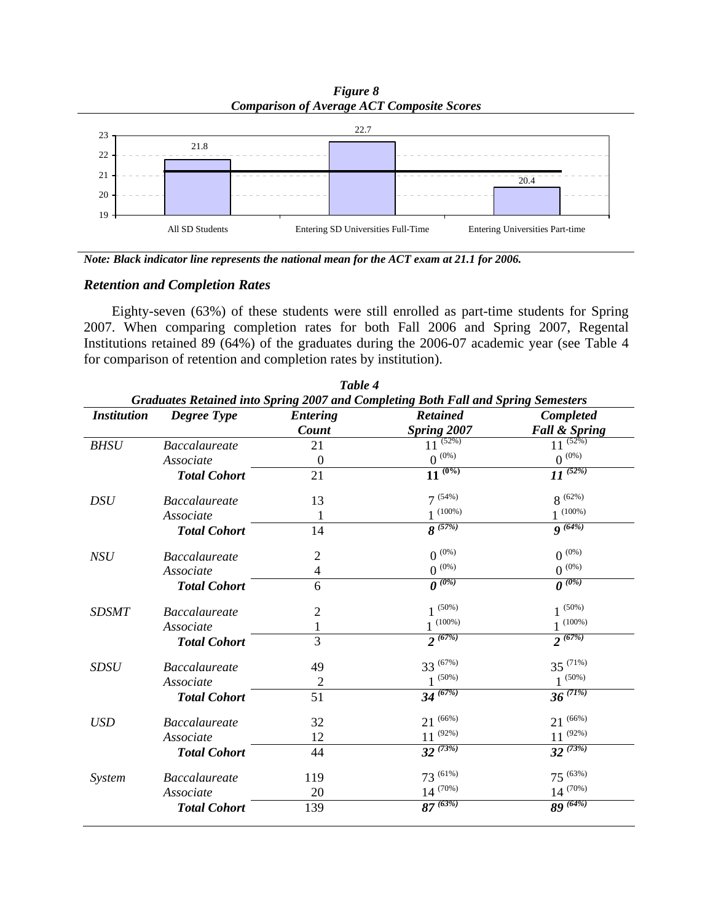*Figure 8 Comparison of Average ACT Composite Scores*



*Note: Black indicator line represents the national mean for the ACT exam at 21.1 for 2006.*

## *Retention and Completion Rates*

Eighty-seven (63%) of these students were still enrolled as part-time students for Spring 2007. When comparing completion rates for both Fall 2006 and Spring 2007, Regental Institutions retained 89 (64%) of the graduates during the 2006-07 academic year (see Table 4 for comparison of retention and completion rates by institution).

|                    | Table 4<br>Graduates Retained into Spring 2007 and Completing Both Fall and Spring Semesters |                          |                                       |                                       |  |  |  |  |  |  |  |
|--------------------|----------------------------------------------------------------------------------------------|--------------------------|---------------------------------------|---------------------------------------|--|--|--|--|--|--|--|
| <b>Institution</b> | <b>Degree Type</b>                                                                           | <b>Entering</b><br>Count | <b>Retained</b><br><b>Spring 2007</b> | Completed<br><b>Fall &amp; Spring</b> |  |  |  |  |  |  |  |
| <b>BHSU</b>        | <b>Baccalaureate</b>                                                                         | 21                       | $11^{(52\%)}$                         | $11^{(52\%)}$                         |  |  |  |  |  |  |  |
|                    | Associate                                                                                    | $\mathbf{0}$             | $0$ $^{\textrm{\tiny{(0)}}}$          | $0^{(0\%)}$                           |  |  |  |  |  |  |  |
|                    | <b>Total Cohort</b>                                                                          | 21                       | $11^{(0\%)}$                          | $11^{(52\%)}$                         |  |  |  |  |  |  |  |
| <b>DSU</b>         | <b>Baccalaureate</b>                                                                         | 13                       | $7^{(54\%)}$                          | $8^{(62\%)}$                          |  |  |  |  |  |  |  |
|                    | Associate                                                                                    | 1                        | $1^{(100\%)}$                         | $1^{(100\%)}$                         |  |  |  |  |  |  |  |
|                    | <b>Total Cohort</b>                                                                          | 14                       | $8^{(57%)}$                           | $9^{(64%)}$                           |  |  |  |  |  |  |  |
| NSU                | <b>Baccalaureate</b>                                                                         | $\overline{2}$           | $0^{(0\%)}$                           | $0^{(0\%)}$                           |  |  |  |  |  |  |  |
|                    | Associate                                                                                    | $\overline{\mathcal{A}}$ | $0$ $^{\textrm{\tiny{(0)}}}$          | $0$ $^{\left(0\% \right)}$            |  |  |  |  |  |  |  |
|                    | <b>Total Cohort</b>                                                                          | 6                        | $\overline{\mathbf{0}^{(0\%)}}$       | $\overline{\mathbf{0}^{(0\%)}}$       |  |  |  |  |  |  |  |
| <b>SDSMT</b>       | <b>Baccalaureate</b>                                                                         | $\overline{2}$           | $1^{(50\%)}$                          | $1^{(50\%)}$                          |  |  |  |  |  |  |  |
|                    | Associate                                                                                    |                          | $1^{(100\%)}$                         | $1^{(100\%)}$                         |  |  |  |  |  |  |  |
|                    | <b>Total Cohort</b>                                                                          | 3                        | $2^{(67%)}$                           | $2^{(67%)}$                           |  |  |  |  |  |  |  |
| <b>SDSU</b>        | <b>Baccalaureate</b>                                                                         | 49                       | $33^{(67\%)}$                         | $35^{(71\%)}$                         |  |  |  |  |  |  |  |
|                    | Associate                                                                                    | $\overline{c}$           | $(50\%)$                              | $1^{(50\%)}$                          |  |  |  |  |  |  |  |
|                    | <b>Total Cohort</b>                                                                          | 51                       | $34\sqrt{67\%}$                       | $36^{(71\%)}$                         |  |  |  |  |  |  |  |
| <b>USD</b>         | <b>Baccalaureate</b>                                                                         | 32                       | $21^{(66\%)}$                         | $21^{(66\%)}$                         |  |  |  |  |  |  |  |
|                    | Associate                                                                                    | 12                       | $11^{(92\%)}$                         | $11^{(92\%)}$                         |  |  |  |  |  |  |  |
|                    | <b>Total Cohort</b>                                                                          | 44                       | $32^{(73\%)}$                         | $32^{(73\%)}$                         |  |  |  |  |  |  |  |
| System             | <b>Baccalaureate</b>                                                                         | 119                      | $73^{(61\%)}$                         | $75^{(63\%)}$                         |  |  |  |  |  |  |  |
|                    | Associate                                                                                    | 20                       | $14^{(70\%)}$                         | $14^{(70\%)}$                         |  |  |  |  |  |  |  |
|                    | <b>Total Cohort</b>                                                                          | 139                      | $87^{(63\%)}$                         | $89^{(64\%)}$                         |  |  |  |  |  |  |  |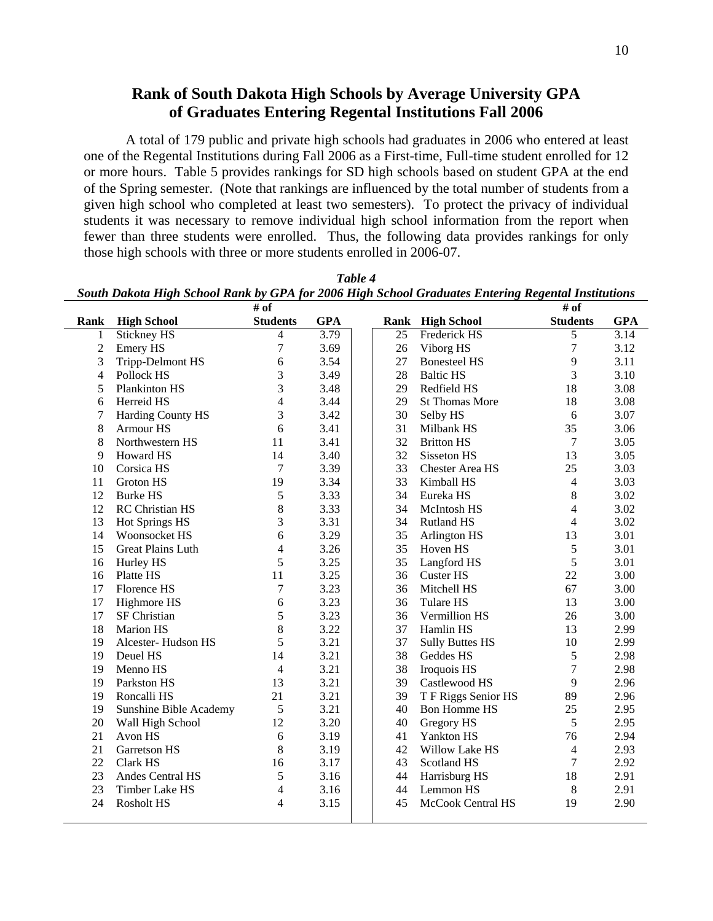# **Rank of South Dakota High Schools by Average University GPA of Graduates Entering Regental Institutions Fall 2006**

A total of 179 public and private high schools had graduates in 2006 who entered at least one of the Regental Institutions during Fall 2006 as a First-time, Full-time student enrolled for 12 or more hours. Table 5 provides rankings for SD high schools based on student GPA at the end of the Spring semester. (Note that rankings are influenced by the total number of students from a given high school who completed at least two semesters). To protect the privacy of individual students it was necessary to remove individual high school information from the report when fewer than three students were enrolled. Thus, the following data provides rankings for only those high schools with three or more students enrolled in 2006-07.

|                | South Dakota High School Rank by GPA for 2006 High School Graduates Entering Regental Institutions |                          |            |    |                        |                  |            |
|----------------|----------------------------------------------------------------------------------------------------|--------------------------|------------|----|------------------------|------------------|------------|
|                |                                                                                                    | # of                     |            |    |                        | # of             |            |
| <b>Rank</b>    | <b>High School</b>                                                                                 | <b>Students</b>          | <b>GPA</b> |    | Rank High School       | <b>Students</b>  | <b>GPA</b> |
| 1              | Stickney HS                                                                                        | $\overline{\mathcal{L}}$ | 3.79       | 25 | Frederick HS           | 5                | 3.14       |
| $\sqrt{2}$     | Emery HS                                                                                           | $\overline{7}$           | 3.69       | 26 | Viborg HS              | 7                | 3.12       |
| 3              | <b>Tripp-Delmont HS</b>                                                                            | 6                        | 3.54       | 27 | <b>Bonesteel HS</b>    | 9                | 3.11       |
| $\overline{4}$ | Pollock HS                                                                                         | 3                        | 3.49       | 28 | <b>Baltic HS</b>       | 3                | 3.10       |
| 5              | Plankinton HS                                                                                      | 3                        | 3.48       | 29 | Redfield HS            | 18               | 3.08       |
| 6              | Herreid HS                                                                                         | $\overline{4}$           | 3.44       | 29 | <b>St Thomas More</b>  | 18               | 3.08       |
| 7              | Harding County HS                                                                                  | 3                        | 3.42       | 30 | Selby HS               | 6                | 3.07       |
| 8              | Armour HS                                                                                          | 6                        | 3.41       | 31 | Milbank HS             | 35               | 3.06       |
| 8              | Northwestern HS                                                                                    | 11                       | 3.41       | 32 | <b>Britton HS</b>      | $\boldsymbol{7}$ | 3.05       |
| 9              | Howard HS                                                                                          | 14                       | 3.40       | 32 | Sisseton HS            | 13               | 3.05       |
| 10             | Corsica HS                                                                                         | 7                        | 3.39       | 33 | <b>Chester Area HS</b> | 25               | 3.03       |
| 11             | Groton HS                                                                                          | 19                       | 3.34       | 33 | Kimball HS             | $\overline{4}$   | 3.03       |
| 12             | <b>Burke HS</b>                                                                                    | 5                        | 3.33       | 34 | Eureka HS              | 8                | 3.02       |
| 12             | RC Christian HS                                                                                    | 8                        | 3.33       | 34 | McIntosh HS            | $\overline{4}$   | 3.02       |
| 13             | Hot Springs HS                                                                                     | 3                        | 3.31       | 34 | <b>Rutland HS</b>      | $\overline{4}$   | 3.02       |
| 14             | Woonsocket HS                                                                                      | $\sqrt{6}$               | 3.29       | 35 | Arlington HS           | 13               | 3.01       |
| 15             | Great Plains Luth                                                                                  | $\overline{\mathcal{L}}$ | 3.26       | 35 | Hoven HS               | 5                | 3.01       |
| 16             | Hurley HS                                                                                          | 5                        | 3.25       | 35 | Langford HS            | 5                | 3.01       |
| 16             | Platte HS                                                                                          | 11                       | 3.25       | 36 | Custer HS              | 22               | 3.00       |
| 17             | Florence HS                                                                                        | 7                        | 3.23       | 36 | Mitchell HS            | 67               | 3.00       |
| 17             | Highmore HS                                                                                        | 6                        | 3.23       | 36 | <b>Tulare HS</b>       | 13               | 3.00       |
| 17             | SF Christian                                                                                       | 5                        | 3.23       | 36 | Vermillion HS          | 26               | 3.00       |
| 18             | Marion HS                                                                                          | 8                        | 3.22       | 37 | Hamlin HS              | 13               | 2.99       |
| 19             | Alcester-Hudson HS                                                                                 | 5                        | 3.21       | 37 | <b>Sully Buttes HS</b> | 10               | 2.99       |
| 19             | Deuel HS                                                                                           | 14                       | 3.21       | 38 | Geddes HS              | 5                | 2.98       |
| 19             | Menno HS                                                                                           | $\overline{4}$           | 3.21       | 38 | Iroquois HS            | 7                | 2.98       |
| 19             | Parkston HS                                                                                        | 13                       | 3.21       | 39 | Castlewood HS          | 9                | 2.96       |
| 19             | Roncalli HS                                                                                        | 21                       | 3.21       | 39 | T F Riggs Senior HS    | 89               | 2.96       |
| 19             | Sunshine Bible Academy                                                                             | 5                        | 3.21       | 40 | <b>Bon Homme HS</b>    | 25               | 2.95       |
| 20             | Wall High School                                                                                   | 12                       | 3.20       | 40 | Gregory HS             | 5                | 2.95       |
| 21             | Avon HS                                                                                            | 6                        | 3.19       | 41 | <b>Yankton HS</b>      | 76               | 2.94       |
| 21             | Garretson HS                                                                                       | 8                        | 3.19       | 42 | Willow Lake HS         | $\overline{4}$   | 2.93       |
| 22             | Clark HS                                                                                           | 16                       | 3.17       | 43 | <b>Scotland HS</b>     | $\overline{7}$   | 2.92       |
| 23             | Andes Central HS                                                                                   | 5                        | 3.16       | 44 | Harrisburg HS          | 18               | 2.91       |
| 23             | Timber Lake HS                                                                                     | $\overline{\mathcal{L}}$ | 3.16       | 44 | Lemmon HS              | $\,8\,$          | 2.91       |
| 24             | Rosholt HS                                                                                         | 4                        | 3.15       | 45 | McCook Central HS      | 19               | 2.90       |
|                |                                                                                                    |                          |            |    |                        |                  |            |

*Table 4 South Dakota High School Rank by GPA for 2006 High School Graduates Entering Regental Institutions*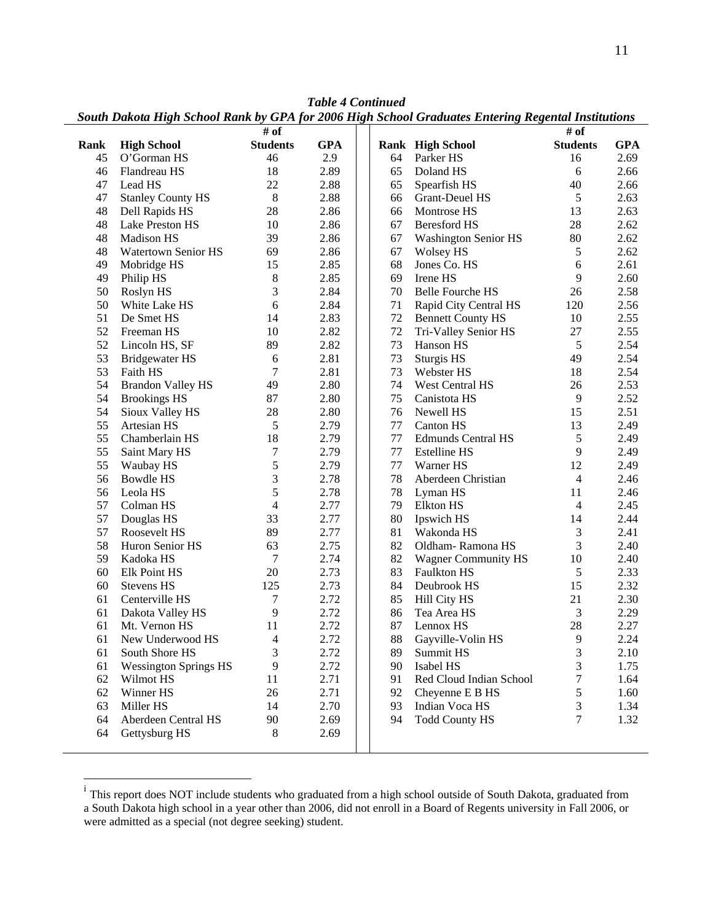|      |                              | # of            |            |    |                             | # of            |            |
|------|------------------------------|-----------------|------------|----|-----------------------------|-----------------|------------|
| Rank | <b>High School</b>           | <b>Students</b> | <b>GPA</b> |    | <b>Rank High School</b>     | <b>Students</b> | <b>GPA</b> |
| 45   | O'Gorman HS                  | 46              | 2.9        | 64 | Parker HS                   | 16              | 2.69       |
| 46   | Flandreau HS                 | 18              | 2.89       | 65 | Doland HS                   | 6               | 2.66       |
| 47   | Lead HS                      | 22              | 2.88       | 65 | Spearfish HS                | 40              | 2.66       |
| 47   | <b>Stanley County HS</b>     | $\,8\,$         | 2.88       | 66 | <b>Grant-Deuel HS</b>       | $\sqrt{5}$      | 2.63       |
| 48   | Dell Rapids HS               | 28              | 2.86       | 66 | Montrose HS                 | 13              | 2.63       |
| 48   | Lake Preston HS              | 10              | 2.86       | 67 | <b>Beresford HS</b>         | 28              | 2.62       |
| 48   | Madison HS                   | 39              | 2.86       | 67 |                             | 80              | 2.62       |
| 48   |                              | 69              | 2.86       | 67 | <b>Washington Senior HS</b> | 5               | 2.62       |
| 49   | Watertown Senior HS          | 15              | 2.85       | 68 | <b>Wolsey HS</b>            |                 | 2.61       |
|      | Mobridge HS                  |                 |            |    | Jones Co. HS                | 6               |            |
| 49   | Philip HS                    | 8               | 2.85       | 69 | Irene HS                    | 9               | 2.60       |
| 50   | Roslyn HS                    | 3               | 2.84       | 70 | <b>Belle Fourche HS</b>     | 26              | 2.58       |
| 50   | White Lake HS                | 6               | 2.84       | 71 | Rapid City Central HS       | 120             | 2.56       |
| 51   | De Smet HS                   | 14              | 2.83       | 72 | <b>Bennett County HS</b>    | 10              | 2.55       |
| 52   | Freeman HS                   | 10              | 2.82       | 72 | Tri-Valley Senior HS        | 27              | 2.55       |
| 52   | Lincoln HS, SF               | 89              | 2.82       | 73 | Hanson HS                   | $\mathfrak s$   | 2.54       |
| 53   | <b>Bridgewater HS</b>        | 6               | 2.81       | 73 | Sturgis HS                  | 49              | 2.54       |
| 53   | Faith HS                     | 7               | 2.81       | 73 | Webster HS                  | 18              | 2.54       |
| 54   | <b>Brandon Valley HS</b>     | 49              | 2.80       | 74 | West Central HS             | 26              | 2.53       |
| 54   | <b>Brookings HS</b>          | 87              | 2.80       | 75 | Canistota HS                | $\mathbf{9}$    | 2.52       |
| 54   | Sioux Valley HS              | 28              | 2.80       | 76 | Newell HS                   | 15              | 2.51       |
| 55   | Artesian HS                  | 5               | 2.79       | 77 | Canton HS                   | 13              | 2.49       |
| 55   | Chamberlain HS               | 18              | 2.79       | 77 | <b>Edmunds Central HS</b>   | $\mathfrak s$   | 2.49       |
| 55   | Saint Mary HS                | 7               | 2.79       | 77 | <b>Estelline HS</b>         | 9               | 2.49       |
| 55   | Waubay HS                    | 5               | 2.79       | 77 | Warner HS                   | 12              | 2.49       |
| 56   | Bowdle HS                    | 3               | 2.78       | 78 | Aberdeen Christian          | $\overline{4}$  | 2.46       |
| 56   | Leola HS                     | 5               | 2.78       | 78 | Lyman HS                    | 11              | 2.46       |
| 57   | Colman HS                    | $\overline{4}$  | 2.77       | 79 | <b>Elkton HS</b>            | $\overline{4}$  | 2.45       |
| 57   | Douglas HS                   | 33              | 2.77       | 80 | Ipswich HS                  | 14              | 2.44       |
| 57   | Roosevelt HS                 | 89              | 2.77       | 81 | Wakonda HS                  | $\mathfrak{Z}$  | 2.41       |
| 58   | Huron Senior HS              | 63              | 2.75       | 82 | Oldham-Ramona HS            | 3               | 2.40       |
| 59   | Kadoka HS                    | 7               | 2.74       | 82 | <b>Wagner Community HS</b>  | 10              | 2.40       |
| 60   | Elk Point HS                 | 20              | 2.73       | 83 | Faulkton HS                 | 5               | 2.33       |
| 60   | Stevens HS                   | 125             | 2.73       | 84 | Deubrook HS                 | 15              | 2.32       |
| 61   | Centerville HS               | 7               | 2.72       | 85 | Hill City HS                | 21              | 2.30       |
| 61   | Dakota Valley HS             | 9               | 2.72       | 86 | Tea Area HS                 | 3               | 2.29       |
| 61   | Mt. Vernon HS                | 11              | 2.72       | 87 | Lennox HS                   | 28              | 2.27       |
| 61   | New Underwood HS             | $\overline{4}$  | 2.72       | 88 | Gayville-Volin HS           | 9               | 2.24       |
| 61   | South Shore HS               | 3               | 2.72       | 89 | Summit HS                   | $\mathfrak 3$   | 2.10       |
| 61   | <b>Wessington Springs HS</b> | 9               | 2.72       | 90 | Isabel HS                   | 3               | 1.75       |
| 62   | Wilmot HS                    | 11              | 2.71       | 91 | Red Cloud Indian School     | 7               | 1.64       |
| 62   | Winner HS                    | 26              | 2.71       | 92 | Cheyenne E B HS             | 5               | 1.60       |
| 63   | Miller HS                    | 14              | 2.70       | 93 | Indian Voca HS              | 3               | 1.34       |
| 64   | Aberdeen Central HS          | 90              | 2.69       | 94 | <b>Todd County HS</b>       | $\tau$          | 1.32       |
| 64   | Gettysburg HS                | 8               | 2.69       |    |                             |                 |            |
|      |                              |                 |            |    |                             |                 |            |

*Table 4 Continued* 

*South Dakota High School Rank by GPA for 2006 High School Graduates Entering Regental Institutions* 

i<br><sup>i</sup> This report does NOT include students who graduated from a high school outside of South Dakota, graduated from a South Dakota high school in a year other than 2006, did not enroll in a Board of Regents university in Fall 2006, or were admitted as a special (not degree seeking) student.